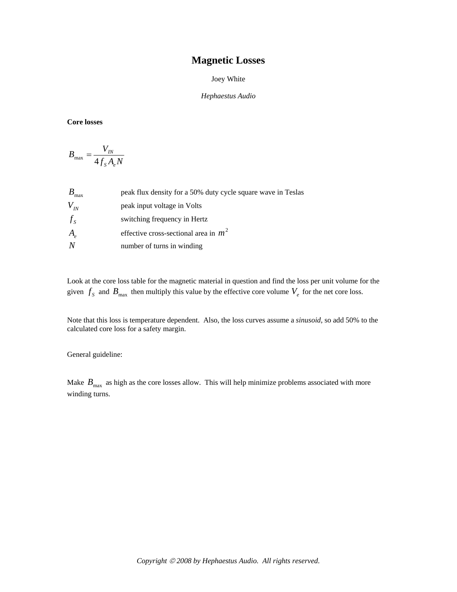## **Magnetic Losses**

## Joey White

## *Hephaestus Audio*

## **Core losses**

$$
B_{\text{max}} = \frac{V_{\text{IN}}}{4f_{\text{S}}A_eN}
$$

| $B_{\rm max}$ | peak flux density for a 50% duty cycle square wave in Teslas |
|---------------|--------------------------------------------------------------|
| $V_{N}$       | peak input voltage in Volts                                  |
| $f_s$         | switching frequency in Hertz                                 |
| $A_e$         | effective cross-sectional area in $m^2$                      |
|               | number of turns in winding                                   |

Look at the core loss table for the magnetic material in question and find the loss per unit volume for the given  $f_s$  and  $B_{\text{max}}$  then multiply this value by the effective core volume  $V_e$  for the net core loss.

Note that this loss is temperature dependent. Also, the loss curves assume a *sinusoid*, so add 50% to the calculated core loss for a safety margin.

General guideline:

Make  $B_{\text{max}}$  as high as the core losses allow. This will help minimize problems associated with more winding turns.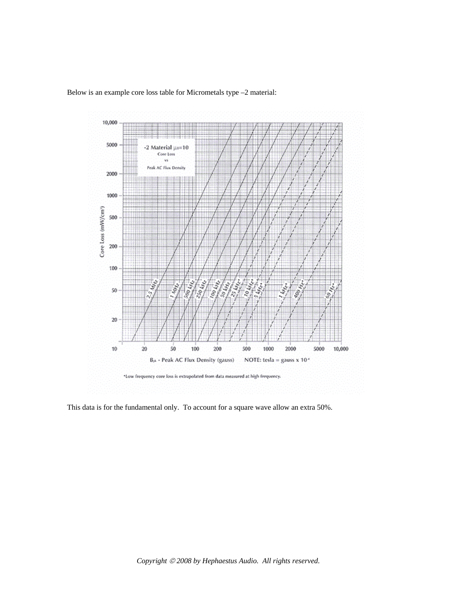

Below is an example core loss table for Micrometals type –2 material:

This data is for the fundamental only. To account for a square wave allow an extra 50%.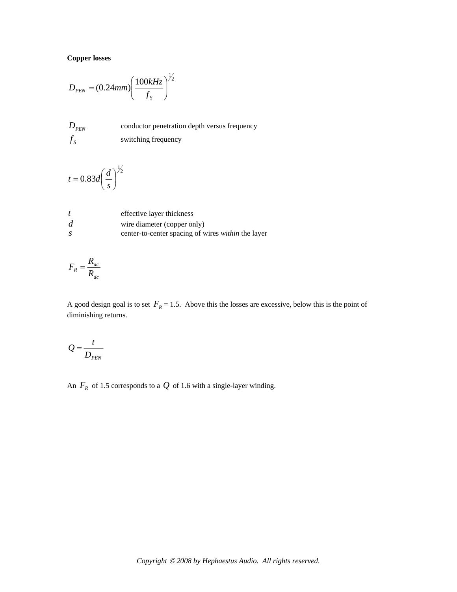**Copper losses**

$$
D_{\scriptscriptstyle PEN} = (0.24 \text{mm}) \left( \frac{100 \text{kHz}}{f_s} \right)^{\frac{1}{2}}
$$

*D*<sub>PEN</sub> conductor penetration depth versus frequency  $f_s$  switching frequency

$$
t = 0.83d\left(\frac{d}{s}\right)^{\frac{1}{2}}
$$

|               | effective layer thickness                          |
|---------------|----------------------------------------------------|
| d             | wire diameter (copper only)                        |
| $\mathcal{S}$ | center-to-center spacing of wires within the layer |

$$
F_R = \frac{R_{ac}}{R_{dc}}
$$

A good design goal is to set  $F_R = 1.5$ . Above this the losses are excessive, below this is the point of diminishing returns.

$$
Q = \frac{t}{D_{\text{PEN}}}
$$

An  $F_R$  of 1.5 corresponds to a  $Q$  of 1.6 with a single-layer winding.